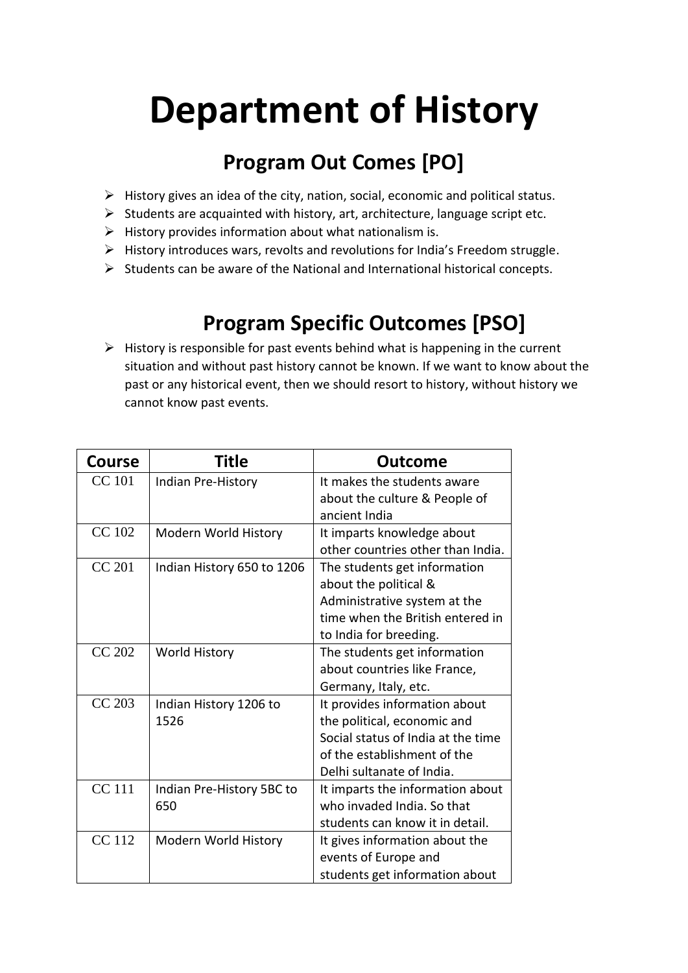## **Department of History**

## **Program Out Comes [PO]**

- $\triangleright$  History gives an idea of the city, nation, social, economic and political status.
- ➢ Students are acquainted with history, art, architecture, language script etc.
- $\triangleright$  History provides information about what nationalism is.
- ➢ History introduces wars, revolts and revolutions for India's Freedom struggle.
- $\triangleright$  Students can be aware of the National and International historical concepts.

## **Program Specific Outcomes [PSO]**

 $\triangleright$  History is responsible for past events behind what is happening in the current situation and without past history cannot be known. If we want to know about the past or any historical event, then we should resort to history, without history we cannot know past events.

| <b>Course</b> | Title                      | Outcome                            |
|---------------|----------------------------|------------------------------------|
| <b>CC</b> 101 | Indian Pre-History         | It makes the students aware        |
|               |                            | about the culture & People of      |
|               |                            | ancient India                      |
| <b>CC</b> 102 | Modern World History       | It imparts knowledge about         |
|               |                            | other countries other than India.  |
| <b>CC 201</b> | Indian History 650 to 1206 | The students get information       |
|               |                            | about the political &              |
|               |                            | Administrative system at the       |
|               |                            | time when the British entered in   |
|               |                            | to India for breeding.             |
| <b>CC 202</b> | <b>World History</b>       | The students get information       |
|               |                            | about countries like France,       |
|               |                            | Germany, Italy, etc.               |
| <b>CC 203</b> | Indian History 1206 to     | It provides information about      |
|               | 1526                       | the political, economic and        |
|               |                            | Social status of India at the time |
|               |                            | of the establishment of the        |
|               |                            | Delhi sultanate of India.          |
| <b>CC</b> 111 | Indian Pre-History 5BC to  | It imparts the information about   |
|               | 650                        | who invaded India. So that         |
|               |                            | students can know it in detail.    |
| <b>CC</b> 112 | Modern World History       | It gives information about the     |
|               |                            | events of Europe and               |
|               |                            | students get information about     |